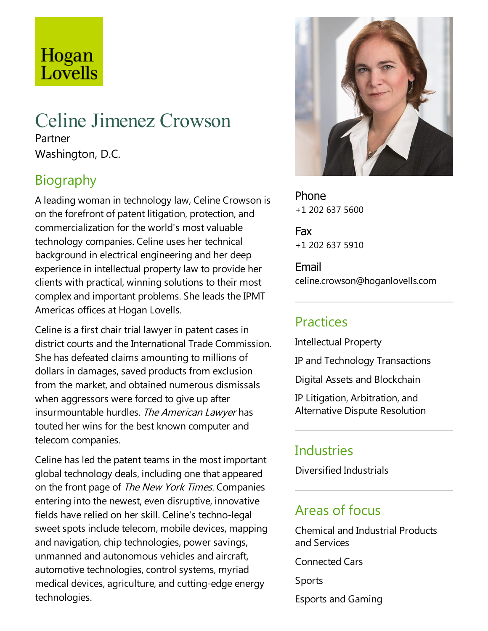# Hogan Lovells

# Celine Jimenez Crowson

Partner Washington, D.C.

# Biography

A leading woman in technology law, Celine Crowson is on the forefront of patent litigation, protection, and commercialization for the world's mostvaluable technology companies. Celine uses her technical background in electrical engineering and her deep experience in intellectual property law to provide her clients with practical, winning solutions to their most complex and important problems. She leads the IPMT Americas offices at Hogan Lovells.

Celine is a first chair trial lawyer in patent cases in district courts and the International Trade Commission. She has defeated claims amounting to millions of dollars in damages, saved products from exclusion from the market, and obtained numerous dismissals when aggressors were forced to give up after insurmountable hurdles. The American Lawyer has touted her wins for the best known computer and telecom companies.

Celine has led the patent teams in the most important global technology deals, including one that appeared on the front page of The New York Times. Companies entering into the newest, even disruptive, innovative fields have relied on her skill. Celine's techno-legal sweet spots include telecom, mobile devices, mapping and navigation, chip technologies, power savings, unmanned and autonomous vehicles and aircraft, automotive technologies, control systems, myriad medical devices, agriculture, and cutting-edge energy technologies.



Phone +1 202 637 5600

Fax +1 202 637 5910

Email celine.crowson@hoganlovells.com

# Practices

Intellectual Property

IP and Technology Transactions

Digital Assets and Blockchain

IP Litigation, Arbitration,and Alternative Dispute Resolution

#### **Industries**

Diversified Industrials

#### Areas of focus

Chemical and Industrial Products and Services

Connected Cars

Sports

Esports and Gaming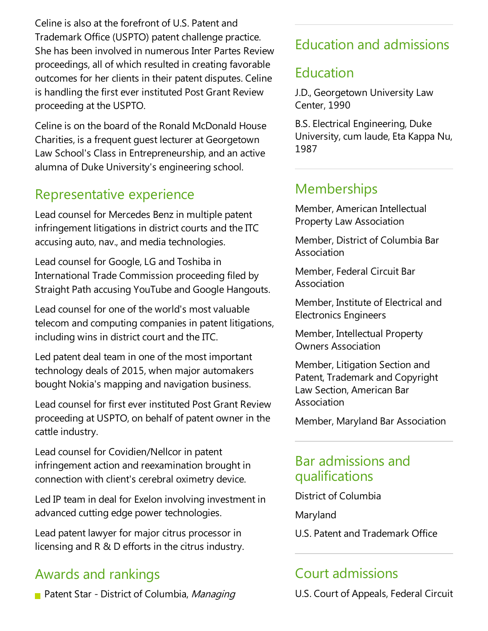Celine is also at the forefront of U.S. Patent and Trademark Office (USPTO) patent challenge practice. She has been involved in numerous Inter Partes Review proceedings,all of which resulted in creating favorable outcomes for her clients in their patent disputes. Celine is handling the first ever instituted Post Grant Review proceeding at the USPTO.

Celine is on the board of the Ronald McDonald House Charities, is afrequent guest lecturer at Georgetown Law School's Class in Entrepreneurship, and an active alumna of Duke University's engineering school.

### Representative experience

Lead counsel for Mercedes Benz in multiple patent infringement litigations in district courts and the ITC accusing auto, nav., and media technologies.

Lead counsel for Google, LG and Toshiba in International Trade Commission proceeding filed by Straight Path accusing YouTube and Google Hangouts.

Lead counsel for one of the world's mostvaluable telecom and computing companies in patent litigations, including wins in district court and the ITC.

Led patent deal team in one of the most important technology deals of 2015, when major automakers bought Nokia's mapping and navigation business.

Lead counsel for firstever instituted Post Grant Review proceeding at USPTO, on behalf of patent owner in the cattle industry.

Lead counsel for Covidien/Nellcor in patent infringement action and reexamination brought in connection with client's cerebral oximetry device.

Led IP team in deal for Exelon involving investment in advanced cutting edge power technologies.

Lead patent lawyer for major citrus processor in licensing and  $R \& D$  efforts in the citrus industry.

# Awards and rankings

Patent Star - District of Columbia, Managing

# Education and admissions

### Education

J.D., Georgetown University Law Center, 1990

B.S.Electrical Engineering, Duke University, cum laude, Eta Kappa Nu, 1987

#### **Memberships**

Member, American Intellectual Property Law Association

Member, District of Columbia Bar Association

Member, Federal Circuit Bar Association

Member, Institute of Electrical and Electronics Engineers

Member, Intellectual Property Owners Association

Member, Litigation Section and Patent, Trademark and Copyright Law Section, American Bar Association

Member, Maryland Bar Association

#### Bar admissions and qualifications

District of Columbia

Maryland

U.S. Patent and Trademark Office

# **Court admissions**

U.S. Court of Appeals, Federal Circuit